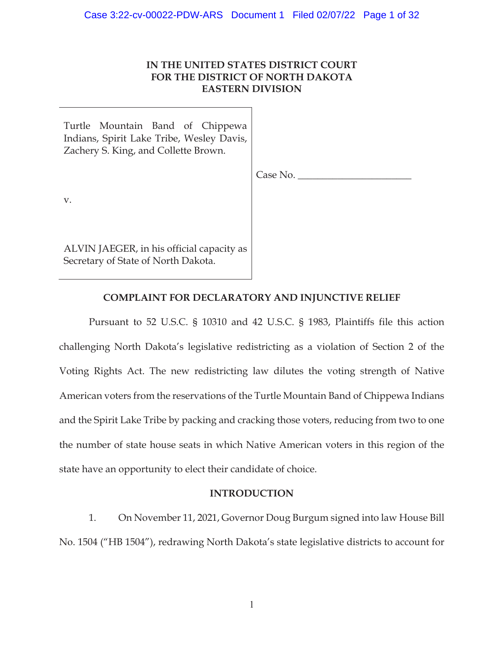# **IN THE UNITED STATES DISTRICT COURT FOR THE DISTRICT OF NORTH DAKOTA EASTERN DIVISION**

Turtle Mountain Band of Chippewa Indians, Spirit Lake Tribe, Wesley Davis, Zachery S. King, and Collette Brown.

Case No.

v.

ALVIN JAEGER, in his official capacity as Secretary of State of North Dakota.

# **COMPLAINT FOR DECLARATORY AND INJUNCTIVE RELIEF**

Pursuant to 52 U.S.C. § 10310 and 42 U.S.C. § 1983, Plaintiffs file this action challenging North Dakota's legislative redistricting as a violation of Section 2 of the Voting Rights Act. The new redistricting law dilutes the voting strength of Native American voters from the reservations of the Turtle Mountain Band of Chippewa Indians and the Spirit Lake Tribe by packing and cracking those voters, reducing from two to one the number of state house seats in which Native American voters in this region of the state have an opportunity to elect their candidate of choice.

## **INTRODUCTION**

1. On November 11, 2021, Governor Doug Burgum signed into law House Bill No. 1504 ("HB 1504"), redrawing North Dakota's state legislative districts to account for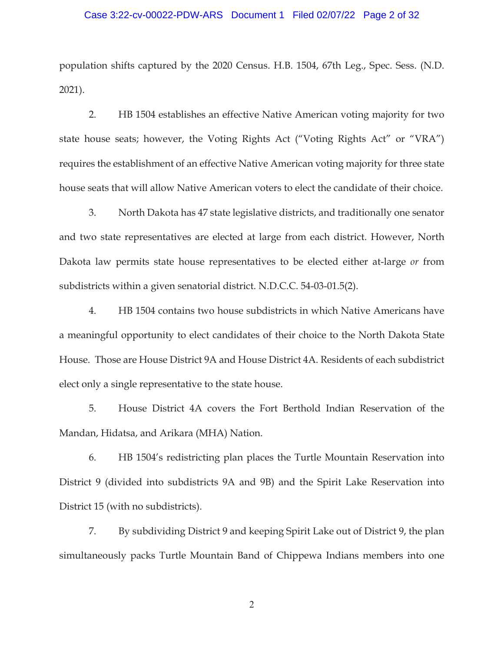### Case 3:22-cv-00022-PDW-ARS Document 1 Filed 02/07/22 Page 2 of 32

population shifts captured by the 2020 Census. H.B. 1504, 67th Leg., Spec. Sess. (N.D. 2021).

2. HB 1504 establishes an effective Native American voting majority for two state house seats; however, the Voting Rights Act ("Voting Rights Act" or "VRA") requires the establishment of an effective Native American voting majority for three state house seats that will allow Native American voters to elect the candidate of their choice.

3. North Dakota has 47 state legislative districts, and traditionally one senator and two state representatives are elected at large from each district. However, North Dakota law permits state house representatives to be elected either at-large *or* from subdistricts within a given senatorial district. N.D.C.C. 54-03-01.5(2).

4. HB 1504 contains two house subdistricts in which Native Americans have a meaningful opportunity to elect candidates of their choice to the North Dakota State House. Those are House District 9A and House District 4A. Residents of each subdistrict elect only a single representative to the state house.

5. House District 4A covers the Fort Berthold Indian Reservation of the Mandan, Hidatsa, and Arikara (MHA) Nation.

6. HB 1504's redistricting plan places the Turtle Mountain Reservation into District 9 (divided into subdistricts 9A and 9B) and the Spirit Lake Reservation into District 15 (with no subdistricts).

7. By subdividing District 9 and keeping Spirit Lake out of District 9, the plan simultaneously packs Turtle Mountain Band of Chippewa Indians members into one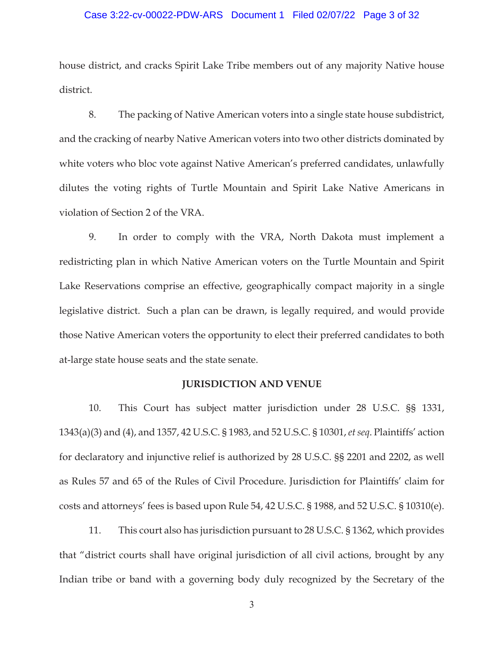### Case 3:22-cv-00022-PDW-ARS Document 1 Filed 02/07/22 Page 3 of 32

house district, and cracks Spirit Lake Tribe members out of any majority Native house district.

8. The packing of Native American voters into a single state house subdistrict, and the cracking of nearby Native American voters into two other districts dominated by white voters who bloc vote against Native American's preferred candidates, unlawfully dilutes the voting rights of Turtle Mountain and Spirit Lake Native Americans in violation of Section 2 of the VRA.

9. In order to comply with the VRA, North Dakota must implement a redistricting plan in which Native American voters on the Turtle Mountain and Spirit Lake Reservations comprise an effective, geographically compact majority in a single legislative district. Such a plan can be drawn, is legally required, and would provide those Native American voters the opportunity to elect their preferred candidates to both at-large state house seats and the state senate.

## **JURISDICTION AND VENUE**

10. This Court has subject matter jurisdiction under 28 U.S.C. §§ 1331, 1343(a)(3) and (4), and 1357, 42 U.S.C. § 1983, and 52 U.S.C. § 10301, *et seq*. Plaintiffs' action for declaratory and injunctive relief is authorized by 28 U.S.C. §§ 2201 and 2202, as well as Rules 57 and 65 of the Rules of Civil Procedure. Jurisdiction for Plaintiffs' claim for costs and attorneys' fees is based upon Rule 54, 42 U.S.C. § 1988, and 52 U.S.C. § 10310(e).

11. This court also has jurisdiction pursuant to 28 U.S.C. § 1362, which provides that "district courts shall have original jurisdiction of all civil actions, brought by any Indian tribe or band with a governing body duly recognized by the Secretary of the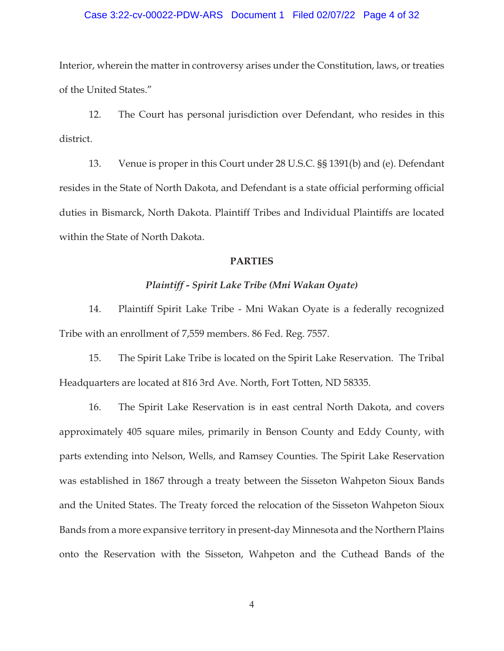### Case 3:22-cv-00022-PDW-ARS Document 1 Filed 02/07/22 Page 4 of 32

Interior, wherein the matter in controversy arises under the Constitution, laws, or treaties of the United States."

12. The Court has personal jurisdiction over Defendant, who resides in this district.

13. Venue is proper in this Court under 28 U.S.C. §§ 1391(b) and (e). Defendant resides in the State of North Dakota, and Defendant is a state official performing official duties in Bismarck, North Dakota. Plaintiff Tribes and Individual Plaintiffs are located within the State of North Dakota.

#### **PARTIES**

## *Plaintiff - Spirit Lake Tribe (Mni Wakan Oyate)*

14. Plaintiff Spirit Lake Tribe - Mni Wakan Oyate is a federally recognized Tribe with an enrollment of 7,559 members. 86 Fed. Reg. 7557.

15. The Spirit Lake Tribe is located on the Spirit Lake Reservation. The Tribal Headquarters are located at 816 3rd Ave. North, Fort Totten, ND 58335.

16. The Spirit Lake Reservation is in east central North Dakota, and covers approximately 405 square miles, primarily in Benson County and Eddy County, with parts extending into Nelson, Wells, and Ramsey Counties. The Spirit Lake Reservation was established in 1867 through a treaty between the Sisseton Wahpeton Sioux Bands and the United States. The Treaty forced the relocation of the Sisseton Wahpeton Sioux Bands from a more expansive territory in present-day Minnesota and the Northern Plains onto the Reservation with the Sisseton, Wahpeton and the Cuthead Bands of the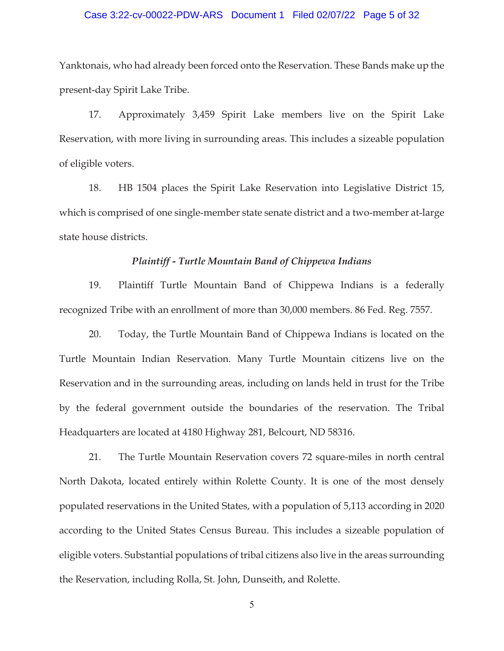### Case 3:22-cv-00022-PDW-ARS Document 1 Filed 02/07/22 Page 5 of 32

Yanktonais, who had already been forced onto the Reservation. These Bands make up the present-day Spirit Lake Tribe.

17. Approximately 3,459 Spirit Lake members live on the Spirit Lake Reservation, with more living in surrounding areas. This includes a sizeable population of eligible voters.

18. HB 1504 places the Spirit Lake Reservation into Legislative District 15, which is comprised of one single-member state senate district and a two-member at-large state house districts.

### *Plaintiff - Turtle Mountain Band of Chippewa Indians*

19. Plaintiff Turtle Mountain Band of Chippewa Indians is a federally recognized Tribe with an enrollment of more than 30,000 members. 86 Fed. Reg. 7557.

20. Today, the Turtle Mountain Band of Chippewa Indians is located on the Turtle Mountain Indian Reservation. Many Turtle Mountain citizens live on the Reservation and in the surrounding areas, including on lands held in trust for the Tribe by the federal government outside the boundaries of the reservation. The Tribal Headquarters are located at 4180 Highway 281, Belcourt, ND 58316.

21. The Turtle Mountain Reservation covers 72 square-miles in north central North Dakota, located entirely within Rolette County. It is one of the most densely populated reservations in the United States, with a population of 5,113 according in 2020 according to the United States Census Bureau. This includes a sizeable population of eligible voters. Substantial populations of tribal citizens also live in the areas surrounding the Reservation, including Rolla, St. John, Dunseith, and Rolette.

 $\overline{5}$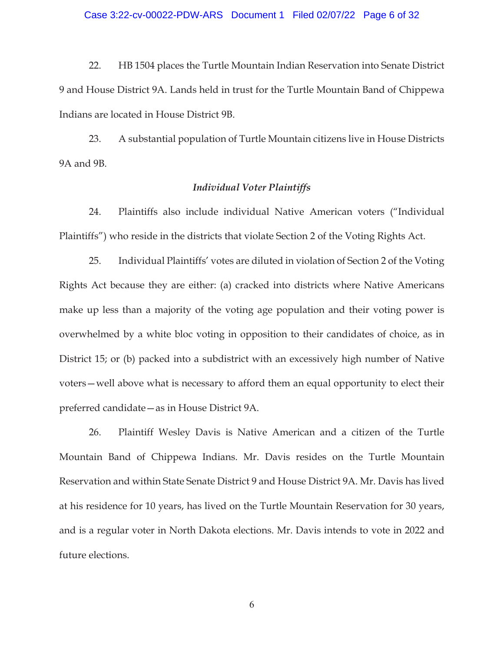### Case 3:22-cv-00022-PDW-ARS Document 1 Filed 02/07/22 Page 6 of 32

22. HB 1504 places the Turtle Mountain Indian Reservation into Senate District 9 and House District 9A. Lands held in trust for the Turtle Mountain Band of Chippewa Indians are located in House District 9B.

23. A substantial population of Turtle Mountain citizens live in House Districts 9A and 9B.

### *Individual Voter Plaintiffs*

24. Plaintiffs also include individual Native American voters ("Individual Plaintiffs") who reside in the districts that violate Section 2 of the Voting Rights Act.

25. Individual Plaintiffs' votes are diluted in violation of Section 2 of the Voting Rights Act because they are either: (a) cracked into districts where Native Americans make up less than a majority of the voting age population and their voting power is overwhelmed by a white bloc voting in opposition to their candidates of choice, as in District 15; or (b) packed into a subdistrict with an excessively high number of Native voters—well above what is necessary to afford them an equal opportunity to elect their preferred candidate—as in House District 9A.

26. Plaintiff Wesley Davis is Native American and a citizen of the Turtle Mountain Band of Chippewa Indians. Mr. Davis resides on the Turtle Mountain Reservation and within State Senate District 9 and House District 9A. Mr. Davis has lived at his residence for 10 years, has lived on the Turtle Mountain Reservation for 30 years, and is a regular voter in North Dakota elections. Mr. Davis intends to vote in 2022 and future elections.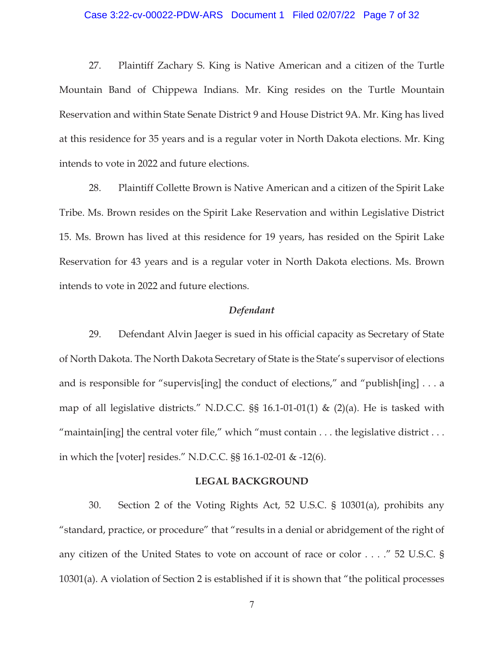# Case 3:22-cv-00022-PDW-ARS Document 1 Filed 02/07/22 Page 7 of 32

27. Plaintiff Zachary S. King is Native American and a citizen of the Turtle Mountain Band of Chippewa Indians. Mr. King resides on the Turtle Mountain Reservation and within State Senate District 9 and House District 9A. Mr. King has lived at this residence for 35 years and is a regular voter in North Dakota elections. Mr. King intends to vote in 2022 and future elections.

28. Plaintiff Collette Brown is Native American and a citizen of the Spirit Lake Tribe. Ms. Brown resides on the Spirit Lake Reservation and within Legislative District 15. Ms. Brown has lived at this residence for 19 years, has resided on the Spirit Lake Reservation for 43 years and is a regular voter in North Dakota elections. Ms. Brown intends to vote in 2022 and future elections.

#### *Defendant*

29. Defendant Alvin Jaeger is sued in his official capacity as Secretary of State of North Dakota. The North Dakota Secretary of State is the State's supervisor of elections and is responsible for "supervis[ing] the conduct of elections," and "publish[ing] . . . a map of all legislative districts." N.D.C.C.  $\S$ § 16.1-01-01(1) & (2)(a). He is tasked with "maintain[ing] the central voter file," which "must contain  $\dots$  the legislative district  $\dots$ in which the [voter] resides." N.D.C.C. §§ 16.1-02-01 & -12(6).

### **LEGAL BACKGROUND**

30. Section 2 of the Voting Rights Act, 52 U.S.C. § 10301(a), prohibits any "standard, practice, or procedure" that "results in a denial or abridgement of the right of any citizen of the United States to vote on account of race or color . . . ." 52 U.S.C. § 10301(a). A violation of Section 2 is established if it is shown that "the political processes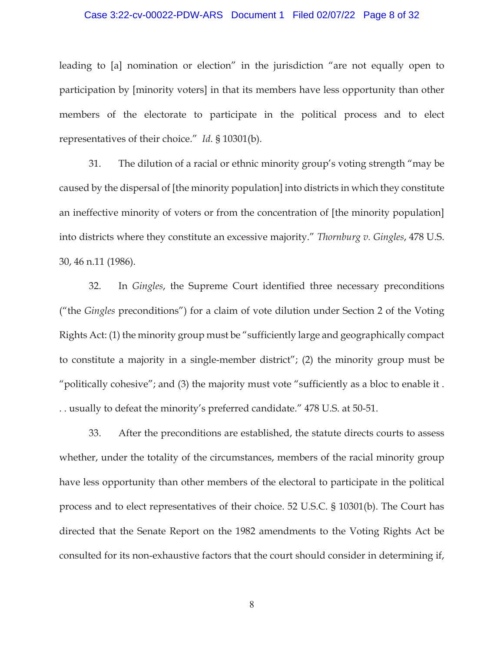### Case 3:22-cv-00022-PDW-ARS Document 1 Filed 02/07/22 Page 8 of 32

leading to [a] nomination or election" in the jurisdiction "are not equally open to participation by [minority voters] in that its members have less opportunity than other members of the electorate to participate in the political process and to elect representatives of their choice." *Id*. § 10301(b).

31. The dilution of a racial or ethnic minority group's voting strength "may be caused by the dispersal of [the minority population] into districts in which they constitute an ineffective minority of voters or from the concentration of [the minority population] into districts where they constitute an excessive majority." *Thornburg v. Gingles*, 478 U.S. 30, 46 n.11 (1986).

32. In *Gingles*, the Supreme Court identified three necessary preconditions ("the *Gingles* preconditions") for a claim of vote dilution under Section 2 of the Voting Rights Act: (1) the minority group must be "sufficiently large and geographically compact to constitute a majority in a single-member district"; (2) the minority group must be "politically cohesive"; and (3) the majority must vote "sufficiently as a bloc to enable it . . . usually to defeat the minority's preferred candidate." 478 U.S. at 50-51.

33. After the preconditions are established, the statute directs courts to assess whether, under the totality of the circumstances, members of the racial minority group have less opportunity than other members of the electoral to participate in the political process and to elect representatives of their choice. 52 U.S.C. § 10301(b). The Court has directed that the Senate Report on the 1982 amendments to the Voting Rights Act be consulted for its non-exhaustive factors that the court should consider in determining if,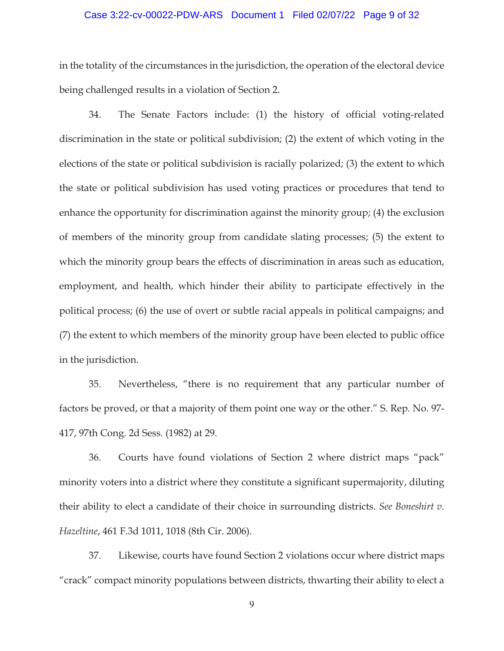### Case 3:22-cv-00022-PDW-ARS Document 1 Filed 02/07/22 Page 9 of 32

in the totality of the circumstances in the jurisdiction, the operation of the electoral device being challenged results in a violation of Section 2.

34. The Senate Factors include: (1) the history of official voting-related discrimination in the state or political subdivision; (2) the extent of which voting in the elections of the state or political subdivision is racially polarized; (3) the extent to which the state or political subdivision has used voting practices or procedures that tend to enhance the opportunity for discrimination against the minority group; (4) the exclusion of members of the minority group from candidate slating processes; (5) the extent to which the minority group bears the effects of discrimination in areas such as education, employment, and health, which hinder their ability to participate effectively in the political process; (6) the use of overt or subtle racial appeals in political campaigns; and (7) the extent to which members of the minority group have been elected to public office in the jurisdiction.

35. Nevertheless, "there is no requirement that any particular number of factors be proved, or that a majority of them point one way or the other." S. Rep. No. 97- 417, 97th Cong. 2d Sess. (1982) at 29.

36. Courts have found violations of Section 2 where district maps "pack" minority voters into a district where they constitute a significant supermajority, diluting their ability to elect a candidate of their choice in surrounding districts. *See Boneshirt v. Hazeltine*, 461 F.3d 1011, 1018 (8th Cir. 2006).

37. Likewise, courts have found Section 2 violations occur where district maps "crack" compact minority populations between districts, thwarting their ability to elect a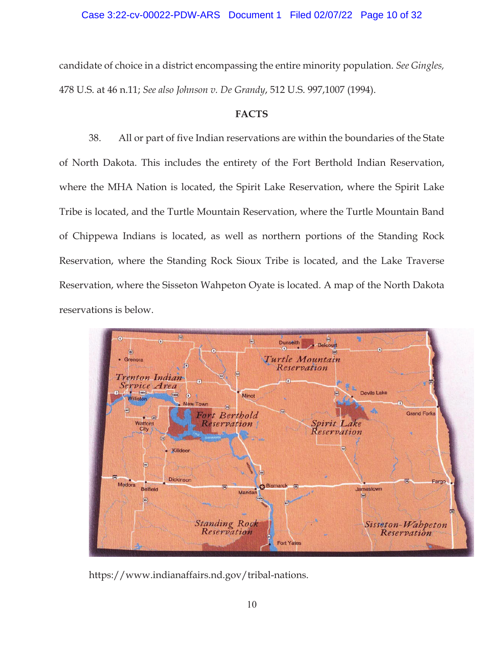## Case 3:22-cv-00022-PDW-ARS Document 1 Filed 02/07/22 Page 10 of 32

candidate of choice in a district encompassing the entire minority population. *See Gingles,*  478 U.S. at 46 n.11; *See also Johnson v. De Grandy*, 512 U.S. 997,1007 (1994).

## **FACTS**

38. All or part of five Indian reservations are within the boundaries of the State of North Dakota. This includes the entirety of the Fort Berthold Indian Reservation, where the MHA Nation is located, the Spirit Lake Reservation, where the Spirit Lake Tribe is located, and the Turtle Mountain Reservation, where the Turtle Mountain Band of Chippewa Indians is located, as well as northern portions of the Standing Rock Reservation, where the Standing Rock Sioux Tribe is located, and the Lake Traverse Reservation, where the Sisseton Wahpeton Oyate is located. A map of the North Dakota reservations is below.



https://www.indianaffairs.nd.gov/tribal-nations.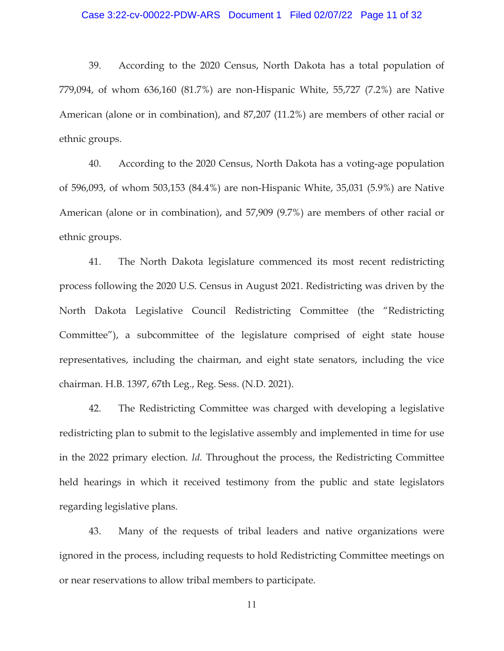### Case 3:22-cv-00022-PDW-ARS Document 1 Filed 02/07/22 Page 11 of 32

39. According to the 2020 Census, North Dakota has a total population of 779,094, of whom 636,160 (81.7%) are non-Hispanic White, 55,727 (7.2%) are Native American (alone or in combination), and 87,207 (11.2%) are members of other racial or ethnic groups.

40. According to the 2020 Census, North Dakota has a voting-age population of 596,093, of whom 503,153 (84.4%) are non-Hispanic White, 35,031 (5.9%) are Native American (alone or in combination), and 57,909 (9.7%) are members of other racial or ethnic groups.

41. The North Dakota legislature commenced its most recent redistricting process following the 2020 U.S. Census in August 2021. Redistricting was driven by the North Dakota Legislative Council Redistricting Committee (the "Redistricting Committee"), a subcommittee of the legislature comprised of eight state house representatives, including the chairman, and eight state senators, including the vice chairman. H.B. 1397, 67th Leg., Reg. Sess. (N.D. 2021).

42. The Redistricting Committee was charged with developing a legislative redistricting plan to submit to the legislative assembly and implemented in time for use in the 2022 primary election. *Id.* Throughout the process, the Redistricting Committee held hearings in which it received testimony from the public and state legislators regarding legislative plans.

43. Many of the requests of tribal leaders and native organizations were ignored in the process, including requests to hold Redistricting Committee meetings on or near reservations to allow tribal members to participate.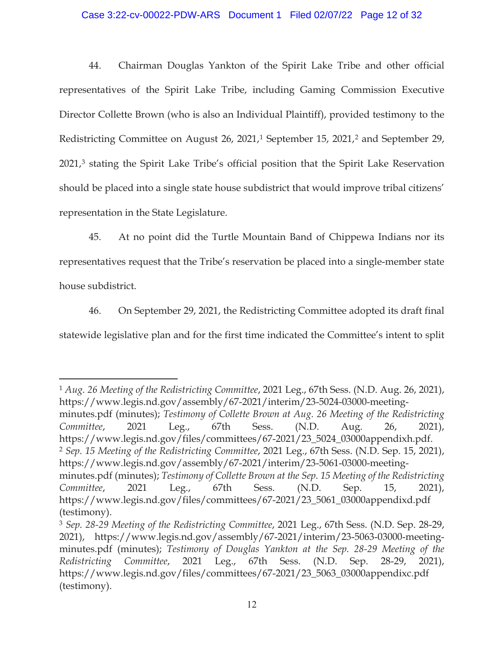## Case 3:22-cv-00022-PDW-ARS Document 1 Filed 02/07/22 Page 12 of 32

44. Chairman Douglas Yankton of the Spirit Lake Tribe and other official representatives of the Spirit Lake Tribe, including Gaming Commission Executive Director Collette Brown (who is also an Individual Plaintiff), provided testimony to the Redistricting Committee on August 26, 2021,<sup>1</sup> September 15, 2021,<sup>2</sup> and September 29, 2021,3 stating the Spirit Lake Tribe's official position that the Spirit Lake Reservation should be placed into a single state house subdistrict that would improve tribal citizens' representation in the State Legislature.

45. At no point did the Turtle Mountain Band of Chippewa Indians nor its representatives request that the Tribe's reservation be placed into a single-member state house subdistrict.

46. On September 29, 2021, the Redistricting Committee adopted its draft final statewide legislative plan and for the first time indicated the Committee's intent to split

 $\overline{a}$ 

<sup>1</sup> *Aug. 26 Meeting of the Redistricting Committee*, 2021 Leg., 67th Sess. (N.D. Aug. 26, 2021), https://www.legis.nd.gov/assembly/67-2021/interim/23-5024-03000-meetingminutes.pdf (minutes); *Testimony of Collette Brown at Aug. 26 Meeting of the Redistricting Committee*, 2021 Leg., 67th Sess. (N.D. Aug. 26, 2021), https://www.legis.nd.gov/files/committees/67-2021/23\_5024\_03000appendixh.pdf. <sup>2</sup> *Sep. 15 Meeting of the Redistricting Committee*, 2021 Leg., 67th Sess. (N.D. Sep. 15, 2021), https://www.legis.nd.gov/assembly/67-2021/interim/23-5061-03000-meetingminutes.pdf (minutes); *Testimony of Collette Brown at the Sep. 15 Meeting of the Redistricting Committee*, 2021 Leg., 67th Sess. (N.D. Sep. 15, 2021), https://www.legis.nd.gov/files/committees/67-2021/23\_5061\_03000appendixd.pdf (testimony).

<sup>3</sup> *Sep. 28-29 Meeting of the Redistricting Committee*, 2021 Leg., 67th Sess. (N.D. Sep. 28-29, 2021), https://www.legis.nd.gov/assembly/67-2021/interim/23-5063-03000-meetingminutes.pdf (minutes); *Testimony of Douglas Yankton at the Sep. 28-29 Meeting of the Redistricting Committee*, 2021 Leg., 67th Sess. (N.D. Sep. 28-29, 2021), https://www.legis.nd.gov/files/committees/67-2021/23\_5063\_03000appendixc.pdf (testimony).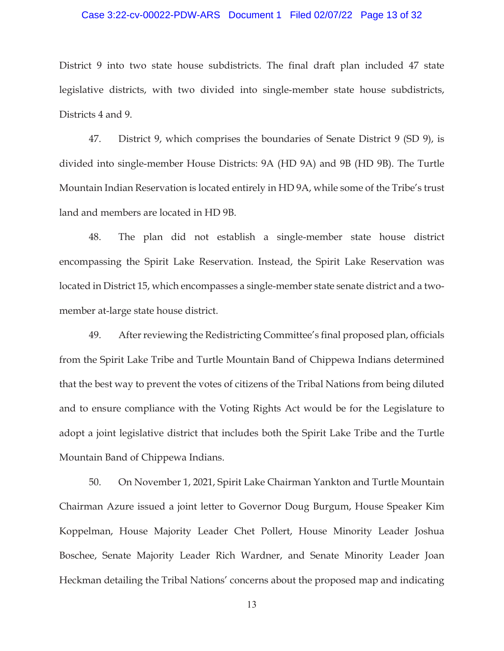### Case 3:22-cv-00022-PDW-ARS Document 1 Filed 02/07/22 Page 13 of 32

District 9 into two state house subdistricts. The final draft plan included 47 state legislative districts, with two divided into single-member state house subdistricts, Districts 4 and 9.

47. District 9, which comprises the boundaries of Senate District 9 (SD 9), is divided into single-member House Districts: 9A (HD 9A) and 9B (HD 9B). The Turtle Mountain Indian Reservation is located entirely in HD 9A, while some of the Tribe's trust land and members are located in HD 9B.

48. The plan did not establish a single-member state house district encompassing the Spirit Lake Reservation. Instead, the Spirit Lake Reservation was located in District 15, which encompasses a single-member state senate district and a twomember at-large state house district.

49. After reviewing the Redistricting Committee's final proposed plan, officials from the Spirit Lake Tribe and Turtle Mountain Band of Chippewa Indians determined that the best way to prevent the votes of citizens of the Tribal Nations from being diluted and to ensure compliance with the Voting Rights Act would be for the Legislature to adopt a joint legislative district that includes both the Spirit Lake Tribe and the Turtle Mountain Band of Chippewa Indians.

50. On November 1, 2021, Spirit Lake Chairman Yankton and Turtle Mountain Chairman Azure issued a joint letter to Governor Doug Burgum, House Speaker Kim Koppelman, House Majority Leader Chet Pollert, House Minority Leader Joshua Boschee, Senate Majority Leader Rich Wardner, and Senate Minority Leader Joan Heckman detailing the Tribal Nations' concerns about the proposed map and indicating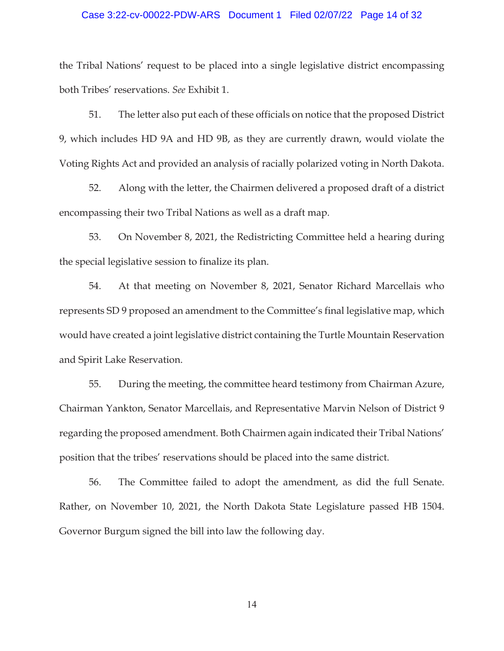# Case 3:22-cv-00022-PDW-ARS Document 1 Filed 02/07/22 Page 14 of 32

the Tribal Nations' request to be placed into a single legislative district encompassing both Tribes' reservations. *See* Exhibit 1.

51. The letter also put each of these officials on notice that the proposed District 9, which includes HD 9A and HD 9B, as they are currently drawn, would violate the Voting Rights Act and provided an analysis of racially polarized voting in North Dakota.

52. Along with the letter, the Chairmen delivered a proposed draft of a district encompassing their two Tribal Nations as well as a draft map.

53. On November 8, 2021, the Redistricting Committee held a hearing during the special legislative session to finalize its plan.

54. At that meeting on November 8, 2021, Senator Richard Marcellais who represents SD 9 proposed an amendment to the Committee's final legislative map, which would have created a joint legislative district containing the Turtle Mountain Reservation and Spirit Lake Reservation.

55. During the meeting, the committee heard testimony from Chairman Azure, Chairman Yankton, Senator Marcellais, and Representative Marvin Nelson of District 9 regarding the proposed amendment. Both Chairmen again indicated their Tribal Nations' position that the tribes' reservations should be placed into the same district.

56. The Committee failed to adopt the amendment, as did the full Senate. Rather, on November 10, 2021, the North Dakota State Legislature passed HB 1504. Governor Burgum signed the bill into law the following day.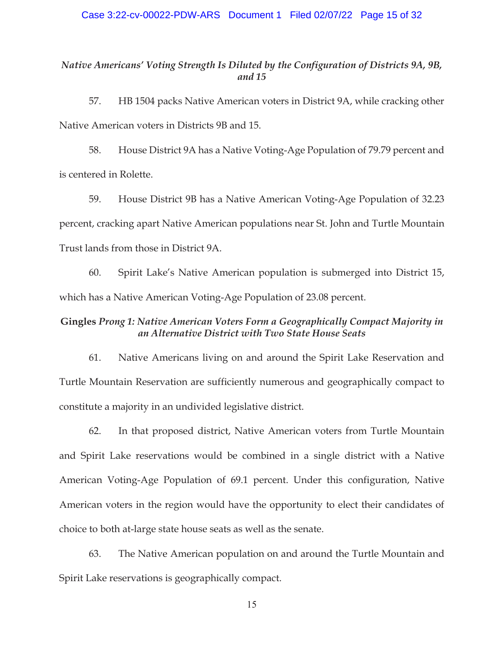## *Native Americans' Voting Strength Is Diluted by the Configuration of Districts 9A, 9B, and 15*

57. HB 1504 packs Native American voters in District 9A, while cracking other Native American voters in Districts 9B and 15.

58. House District 9A has a Native Voting-Age Population of 79.79 percent and is centered in Rolette.

59. House District 9B has a Native American Voting-Age Population of 32.23 percent, cracking apart Native American populations near St. John and Turtle Mountain Trust lands from those in District 9A.

60. Spirit Lake's Native American population is submerged into District 15, which has a Native American Voting-Age Population of 23.08 percent.

# **Gingles** *Prong 1: Native American Voters Form a Geographically Compact Majority in an Alternative District with Two State House Seats*

61. Native Americans living on and around the Spirit Lake Reservation and Turtle Mountain Reservation are sufficiently numerous and geographically compact to constitute a majority in an undivided legislative district.

62. In that proposed district, Native American voters from Turtle Mountain and Spirit Lake reservations would be combined in a single district with a Native American Voting-Age Population of 69.1 percent. Under this configuration, Native American voters in the region would have the opportunity to elect their candidates of choice to both at-large state house seats as well as the senate.

63. The Native American population on and around the Turtle Mountain and Spirit Lake reservations is geographically compact.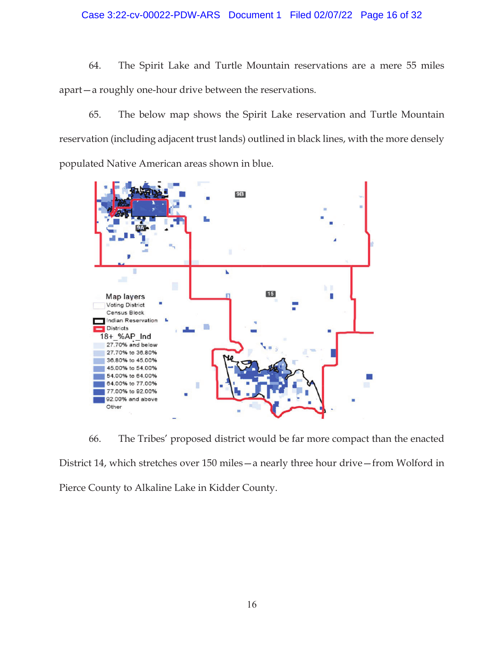# Case 3:22-cv-00022-PDW-ARS Document 1 Filed 02/07/22 Page 16 of 32

64. The Spirit Lake and Turtle Mountain reservations are a mere 55 miles apart—a roughly one-hour drive between the reservations.

65. The below map shows the Spirit Lake reservation and Turtle Mountain reservation (including adjacent trust lands) outlined in black lines, with the more densely populated Native American areas shown in blue.



66. The Tribes' proposed district would be far more compact than the enacted District 14, which stretches over 150 miles—a nearly three hour drive—from Wolford in Pierce County to Alkaline Lake in Kidder County.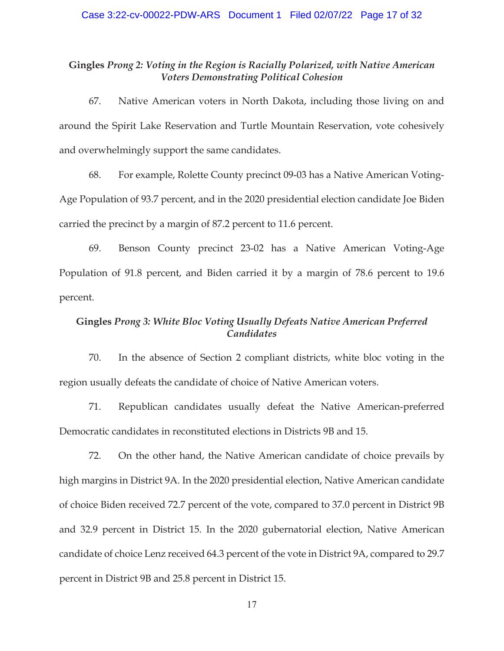# **Gingles** *Prong 2: Voting in the Region is Racially Polarized, with Native American Voters Demonstrating Political Cohesion*

67. Native American voters in North Dakota, including those living on and around the Spirit Lake Reservation and Turtle Mountain Reservation, vote cohesively and overwhelmingly support the same candidates.

68. For example, Rolette County precinct 09-03 has a Native American Voting-Age Population of 93.7 percent, and in the 2020 presidential election candidate Joe Biden carried the precinct by a margin of 87.2 percent to 11.6 percent.

69. Benson County precinct 23-02 has a Native American Voting-Age Population of 91.8 percent, and Biden carried it by a margin of 78.6 percent to 19.6 percent.

# **Gingles** *Prong 3: White Bloc Voting Usually Defeats Native American Preferred Candidates*

70. In the absence of Section 2 compliant districts, white bloc voting in the region usually defeats the candidate of choice of Native American voters.

71. Republican candidates usually defeat the Native American-preferred Democratic candidates in reconstituted elections in Districts 9B and 15.

72. On the other hand, the Native American candidate of choice prevails by high margins in District 9A. In the 2020 presidential election, Native American candidate of choice Biden received 72.7 percent of the vote, compared to 37.0 percent in District 9B and 32.9 percent in District 15. In the 2020 gubernatorial election, Native American candidate of choice Lenz received 64.3 percent of the vote in District 9A, compared to 29.7 percent in District 9B and 25.8 percent in District 15.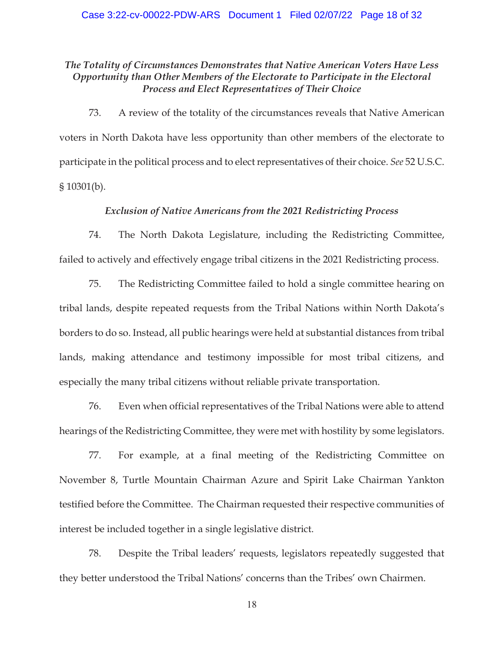# *The Totality of Circumstances Demonstrates that Native American Voters Have Less Opportunity than Other Members of the Electorate to Participate in the Electoral Process and Elect Representatives of Their Choice*

73. A review of the totality of the circumstances reveals that Native American voters in North Dakota have less opportunity than other members of the electorate to participate in the political process and to elect representatives of their choice. *See* 52 U.S.C. § 10301(b).

## *Exclusion of Native Americans from the 2021 Redistricting Process*

74. The North Dakota Legislature, including the Redistricting Committee, failed to actively and effectively engage tribal citizens in the 2021 Redistricting process.

75. The Redistricting Committee failed to hold a single committee hearing on tribal lands, despite repeated requests from the Tribal Nations within North Dakota's borders to do so. Instead, all public hearings were held at substantial distances from tribal lands, making attendance and testimony impossible for most tribal citizens, and especially the many tribal citizens without reliable private transportation.

76. Even when official representatives of the Tribal Nations were able to attend hearings of the Redistricting Committee, they were met with hostility by some legislators.

77. For example, at a final meeting of the Redistricting Committee on November 8, Turtle Mountain Chairman Azure and Spirit Lake Chairman Yankton testified before the Committee. The Chairman requested their respective communities of interest be included together in a single legislative district.

78. Despite the Tribal leaders' requests, legislators repeatedly suggested that they better understood the Tribal Nations' concerns than the Tribes' own Chairmen.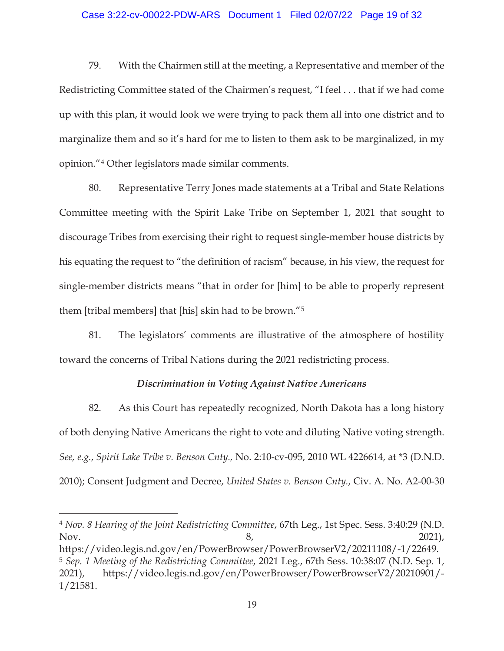### Case 3:22-cv-00022-PDW-ARS Document 1 Filed 02/07/22 Page 19 of 32

79. With the Chairmen still at the meeting, a Representative and member of the Redistricting Committee stated of the Chairmen's request, "I feel . . . that if we had come up with this plan, it would look we were trying to pack them all into one district and to marginalize them and so it's hard for me to listen to them ask to be marginalized, in my opinion."4 Other legislators made similar comments.

80. Representative Terry Jones made statements at a Tribal and State Relations Committee meeting with the Spirit Lake Tribe on September 1, 2021 that sought to discourage Tribes from exercising their right to request single-member house districts by his equating the request to "the definition of racism" because, in his view, the request for single-member districts means "that in order for [him] to be able to properly represent them [tribal members] that [his] skin had to be brown."5

81. The legislators' comments are illustrative of the atmosphere of hostility toward the concerns of Tribal Nations during the 2021 redistricting process.

## *Discrimination in Voting Against Native Americans*

82. As this Court has repeatedly recognized, North Dakota has a long history of both denying Native Americans the right to vote and diluting Native voting strength. *See, e.g.*, *Spirit Lake Tribe v. Benson Cnty.,* No. 2:10-cv-095, 2010 WL 4226614, at \*3 (D.N.D. 2010); Consent Judgment and Decree, *United States v. Benson Cnty.*, Civ. A. No. A2-00-30

<sup>4</sup> *Nov. 8 Hearing of the Joint Redistricting Committee*, 67th Leg., 1st Spec. Sess. 3:40:29 (N.D. Nov. 2021), https://video.legis.nd.gov/en/PowerBrowser/PowerBrowserV2/20211108/-1/22649.

 $\overline{a}$ 

<sup>5</sup> *Sep. 1 Meeting of the Redistricting Committee*, 2021 Leg., 67th Sess. 10:38:07 (N.D. Sep. 1, 2021), https://video.legis.nd.gov/en/PowerBrowser/PowerBrowserV2/20210901/- 1/21581.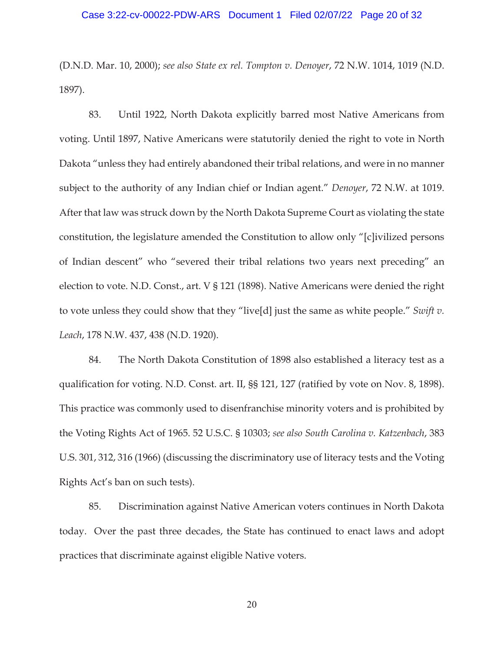### Case 3:22-cv-00022-PDW-ARS Document 1 Filed 02/07/22 Page 20 of 32

(D.N.D. Mar. 10, 2000); *see also State ex rel. Tompton v. Denoyer*, 72 N.W. 1014, 1019 (N.D. 1897).

83. Until 1922, North Dakota explicitly barred most Native Americans from voting. Until 1897, Native Americans were statutorily denied the right to vote in North Dakota "unless they had entirely abandoned their tribal relations, and were in no manner subject to the authority of any Indian chief or Indian agent." *Denoyer*, 72 N.W. at 1019. After that law was struck down by the North Dakota Supreme Court as violating the state constitution, the legislature amended the Constitution to allow only "[c]ivilized persons of Indian descent" who "severed their tribal relations two years next preceding" an election to vote. N.D. Const., art. V § 121 (1898). Native Americans were denied the right to vote unless they could show that they "live[d] just the same as white people." *Swift v. Leach*, 178 N.W. 437, 438 (N.D. 1920).

84. The North Dakota Constitution of 1898 also established a literacy test as a qualification for voting. N.D. Const. art. II, §§ 121, 127 (ratified by vote on Nov. 8, 1898). This practice was commonly used to disenfranchise minority voters and is prohibited by the Voting Rights Act of 1965. 52 U.S.C. § 10303; *see also South Carolina v. Katzenbach*, 383 U.S. 301, 312, 316 (1966) (discussing the discriminatory use of literacy tests and the Voting Rights Act's ban on such tests).

85. Discrimination against Native American voters continues in North Dakota today. Over the past three decades, the State has continued to enact laws and adopt practices that discriminate against eligible Native voters.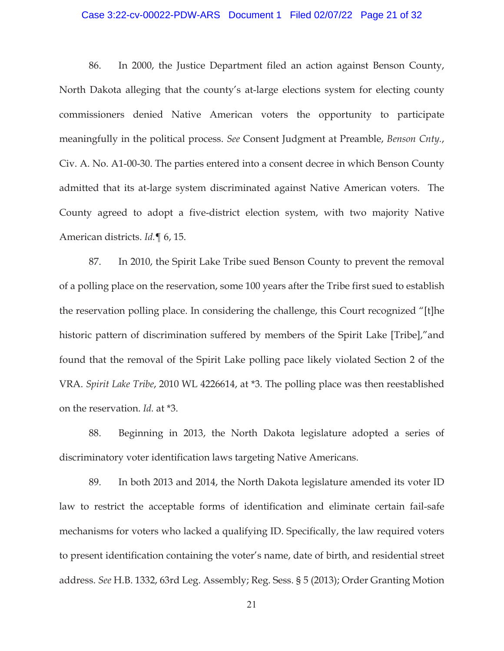### Case 3:22-cv-00022-PDW-ARS Document 1 Filed 02/07/22 Page 21 of 32

86. In 2000, the Justice Department filed an action against Benson County, North Dakota alleging that the county's at-large elections system for electing county commissioners denied Native American voters the opportunity to participate meaningfully in the political process. *See* Consent Judgment at Preamble, *Benson Cnty.*, Civ. A. No. A1-00-30. The parties entered into a consent decree in which Benson County admitted that its at-large system discriminated against Native American voters. The County agreed to adopt a five-district election system, with two majority Native American districts. *Id.*¶ 6, 15.

87. In 2010, the Spirit Lake Tribe sued Benson County to prevent the removal of a polling place on the reservation, some 100 years after the Tribe first sued to establish the reservation polling place. In considering the challenge, this Court recognized "[t]he historic pattern of discrimination suffered by members of the Spirit Lake [Tribe]," and found that the removal of the Spirit Lake polling pace likely violated Section 2 of the VRA. *Spirit Lake Tribe*, 2010 WL 4226614, at \*3. The polling place was then reestablished on the reservation. *Id.* at \*3.

88. Beginning in 2013, the North Dakota legislature adopted a series of discriminatory voter identification laws targeting Native Americans.

89. In both 2013 and 2014, the North Dakota legislature amended its voter ID law to restrict the acceptable forms of identification and eliminate certain fail-safe mechanisms for voters who lacked a qualifying ID. Specifically, the law required voters to present identification containing the voter's name, date of birth, and residential street address. *See* H.B. 1332, 63rd Leg. Assembly; Reg. Sess. § 5 (2013); Order Granting Motion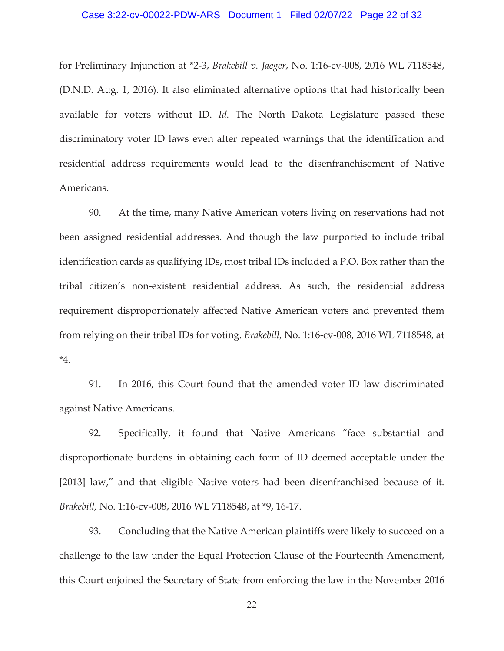### Case 3:22-cv-00022-PDW-ARS Document 1 Filed 02/07/22 Page 22 of 32

for Preliminary Injunction at \*2-3, *Brakebill v. Jaeger*, No. 1:16-cv-008, 2016 WL 7118548, (D.N.D. Aug. 1, 2016). It also eliminated alternative options that had historically been available for voters without ID. *Id.* The North Dakota Legislature passed these discriminatory voter ID laws even after repeated warnings that the identification and residential address requirements would lead to the disenfranchisement of Native Americans.

90. At the time, many Native American voters living on reservations had not been assigned residential addresses. And though the law purported to include tribal identification cards as qualifying IDs, most tribal IDs included a P.O. Box rather than the tribal citizen's non-existent residential address. As such, the residential address requirement disproportionately affected Native American voters and prevented them from relying on their tribal IDs for voting. *Brakebill,* No. 1:16-cv-008, 2016 WL 7118548, at \*4.

91. In 2016, this Court found that the amended voter ID law discriminated against Native Americans.

92. Specifically, it found that Native Americans "face substantial and disproportionate burdens in obtaining each form of ID deemed acceptable under the [2013] law," and that eligible Native voters had been disenfranchised because of it. *Brakebill,* No. 1:16-cv-008, 2016 WL 7118548, at \*9, 16-17.

93. Concluding that the Native American plaintiffs were likely to succeed on a challenge to the law under the Equal Protection Clause of the Fourteenth Amendment, this Court enjoined the Secretary of State from enforcing the law in the November 2016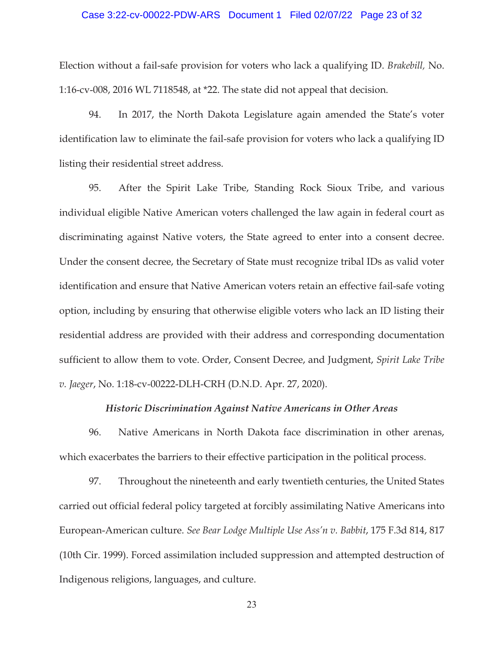### Case 3:22-cv-00022-PDW-ARS Document 1 Filed 02/07/22 Page 23 of 32

Election without a fail-safe provision for voters who lack a qualifying ID. *Brakebill,* No. 1:16-cv-008, 2016 WL 7118548, at \*22. The state did not appeal that decision.

94. In 2017, the North Dakota Legislature again amended the State's voter identification law to eliminate the fail-safe provision for voters who lack a qualifying ID listing their residential street address.

95. After the Spirit Lake Tribe, Standing Rock Sioux Tribe, and various individual eligible Native American voters challenged the law again in federal court as discriminating against Native voters, the State agreed to enter into a consent decree. Under the consent decree, the Secretary of State must recognize tribal IDs as valid voter identification and ensure that Native American voters retain an effective fail-safe voting option, including by ensuring that otherwise eligible voters who lack an ID listing their residential address are provided with their address and corresponding documentation sufficient to allow them to vote. Order, Consent Decree, and Judgment, *Spirit Lake Tribe v. Jaeger*, No. 1:18-cv-00222-DLH-CRH (D.N.D. Apr. 27, 2020).

### *Historic Discrimination Against Native Americans in Other Areas*

96. Native Americans in North Dakota face discrimination in other arenas, which exacerbates the barriers to their effective participation in the political process.

97. Throughout the nineteenth and early twentieth centuries, the United States carried out official federal policy targeted at forcibly assimilating Native Americans into European-American culture. *See Bear Lodge Multiple Use Ass'n v. Babbit*, 175 F.3d 814, 817 (10th Cir. 1999). Forced assimilation included suppression and attempted destruction of Indigenous religions, languages, and culture.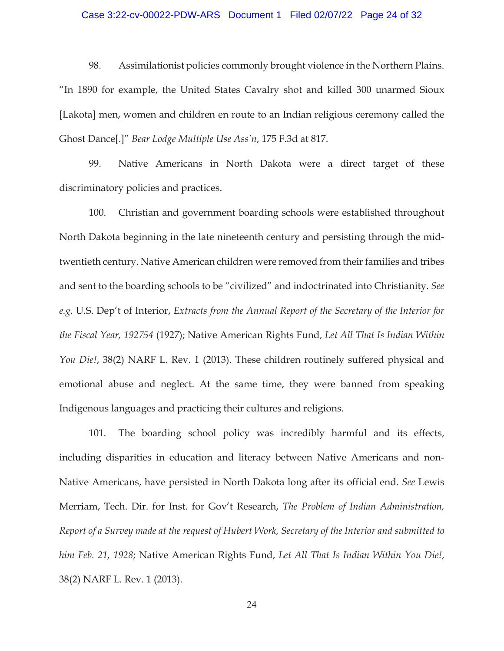### Case 3:22-cv-00022-PDW-ARS Document 1 Filed 02/07/22 Page 24 of 32

98. Assimilationist policies commonly brought violence in the Northern Plains. "In 1890 for example, the United States Cavalry shot and killed 300 unarmed Sioux [Lakota] men, women and children en route to an Indian religious ceremony called the Ghost Dance[.]" *Bear Lodge Multiple Use Ass'n*, 175 F.3d at 817.

99. Native Americans in North Dakota were a direct target of these discriminatory policies and practices.

100. Christian and government boarding schools were established throughout North Dakota beginning in the late nineteenth century and persisting through the midtwentieth century. Native American children were removed from their families and tribes and sent to the boarding schools to be "civilized" and indoctrinated into Christianity. *See e.g.* U.S. Dep't of Interior, *Extracts from the Annual Report of the Secretary of the Interior for the Fiscal Year, 192754* (1927); Native American Rights Fund, *Let All That Is Indian Within You Die!*, 38(2) NARF L. Rev. 1 (2013). These children routinely suffered physical and emotional abuse and neglect. At the same time, they were banned from speaking Indigenous languages and practicing their cultures and religions.

101. The boarding school policy was incredibly harmful and its effects, including disparities in education and literacy between Native Americans and non-Native Americans, have persisted in North Dakota long after its official end. *See* Lewis Merriam, Tech. Dir. for Inst. for Gov't Research, *The Problem of Indian Administration, Report of a Survey made at the request of Hubert Work, Secretary of the Interior and submitted to him Feb. 21, 1928*; Native American Rights Fund, *Let All That Is Indian Within You Die!*, 38(2) NARF L. Rev. 1 (2013).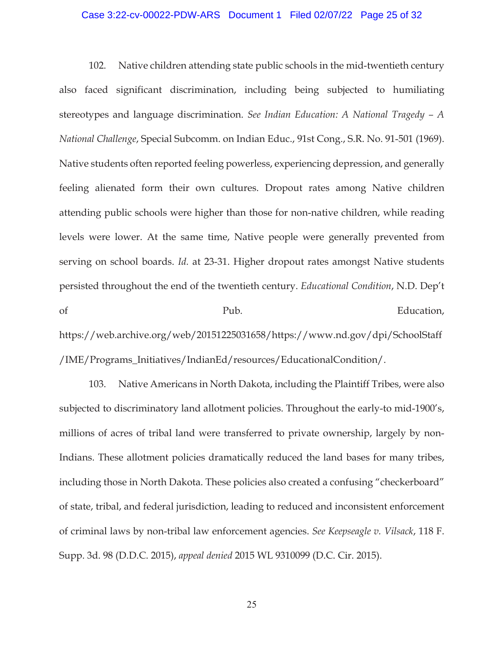### Case 3:22-cv-00022-PDW-ARS Document 1 Filed 02/07/22 Page 25 of 32

102. Native children attending state public schools in the mid-twentieth century also faced significant discrimination, including being subjected to humiliating stereotypes and language discrimination. *See Indian Education: A National Tragedy – A National Challenge*, Special Subcomm. on Indian Educ., 91st Cong., S.R. No. 91-501 (1969). Native students often reported feeling powerless, experiencing depression, and generally feeling alienated form their own cultures. Dropout rates among Native children attending public schools were higher than those for non-native children, while reading levels were lower. At the same time, Native people were generally prevented from serving on school boards. *Id.* at 23-31. Higher dropout rates amongst Native students persisted throughout the end of the twentieth century. *Educational Condition*, N.D. Dep't of Pub. Pub. Education, https://web.archive.org/web/20151225031658/https://www.nd.gov/dpi/SchoolStaff

/IME/Programs\_Initiatives/IndianEd/resources/EducationalCondition/.

103. Native Americans in North Dakota, including the Plaintiff Tribes, were also subjected to discriminatory land allotment policies. Throughout the early-to mid-1900's, millions of acres of tribal land were transferred to private ownership, largely by non-Indians. These allotment policies dramatically reduced the land bases for many tribes, including those in North Dakota. These policies also created a confusing "checkerboard" of state, tribal, and federal jurisdiction, leading to reduced and inconsistent enforcement of criminal laws by non-tribal law enforcement agencies. *See Keepseagle v. Vilsack*, 118 F. Supp. 3d. 98 (D.D.C. 2015), *appeal denied* 2015 WL 9310099 (D.C. Cir. 2015).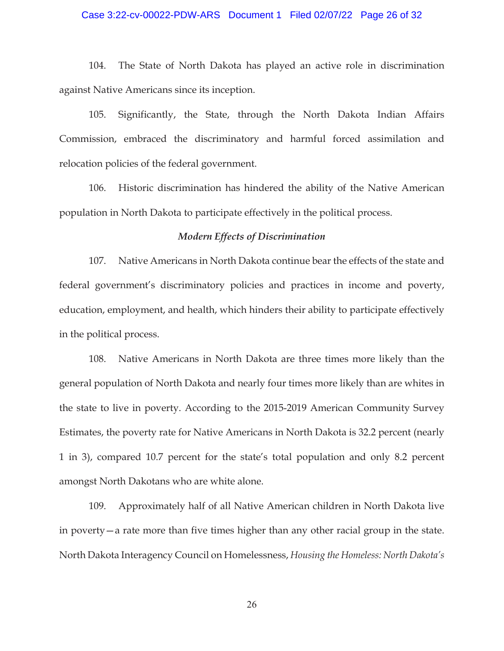# Case 3:22-cv-00022-PDW-ARS Document 1 Filed 02/07/22 Page 26 of 32

104. The State of North Dakota has played an active role in discrimination against Native Americans since its inception.

105. Significantly, the State, through the North Dakota Indian Affairs Commission, embraced the discriminatory and harmful forced assimilation and relocation policies of the federal government.

106. Historic discrimination has hindered the ability of the Native American population in North Dakota to participate effectively in the political process.

## *Modern Effects of Discrimination*

107. Native Americans in North Dakota continue bear the effects of the state and federal government's discriminatory policies and practices in income and poverty, education, employment, and health, which hinders their ability to participate effectively in the political process.

108. Native Americans in North Dakota are three times more likely than the general population of North Dakota and nearly four times more likely than are whites in the state to live in poverty. According to the 2015-2019 American Community Survey Estimates, the poverty rate for Native Americans in North Dakota is 32.2 percent (nearly 1 in 3), compared 10.7 percent for the state's total population and only 8.2 percent amongst North Dakotans who are white alone.

109. Approximately half of all Native American children in North Dakota live in poverty—a rate more than five times higher than any other racial group in the state. North Dakota Interagency Council on Homelessness, *Housing the Homeless: North Dakota's*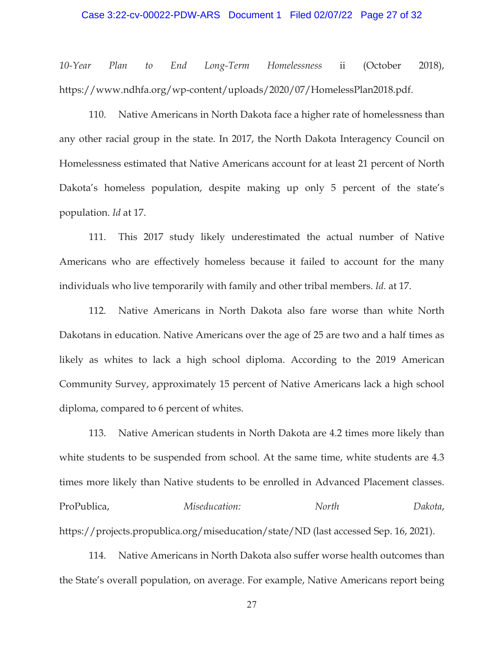### Case 3:22-cv-00022-PDW-ARS Document 1 Filed 02/07/22 Page 27 of 32

*10-Year Plan to End Long-Term Homelessness* ii (October 2018), https://www.ndhfa.org/wp-content/uploads/2020/07/HomelessPlan2018.pdf.

110. Native Americans in North Dakota face a higher rate of homelessness than any other racial group in the state. In 2017, the North Dakota Interagency Council on Homelessness estimated that Native Americans account for at least 21 percent of North Dakota's homeless population, despite making up only 5 percent of the state's population. *Id* at 17.

111. This 2017 study likely underestimated the actual number of Native Americans who are effectively homeless because it failed to account for the many individuals who live temporarily with family and other tribal members. *Id.* at 17.

112. Native Americans in North Dakota also fare worse than white North Dakotans in education. Native Americans over the age of 25 are two and a half times as likely as whites to lack a high school diploma. According to the 2019 American Community Survey, approximately 15 percent of Native Americans lack a high school diploma, compared to 6 percent of whites.

113. Native American students in North Dakota are 4.2 times more likely than white students to be suspended from school. At the same time, white students are 4.3 times more likely than Native students to be enrolled in Advanced Placement classes. ProPublica, *Miseducation: North Dakota*, https://projects.propublica.org/miseducation/state/ND (last accessed Sep. 16, 2021).

114. Native Americans in North Dakota also suffer worse health outcomes than the State's overall population, on average. For example, Native Americans report being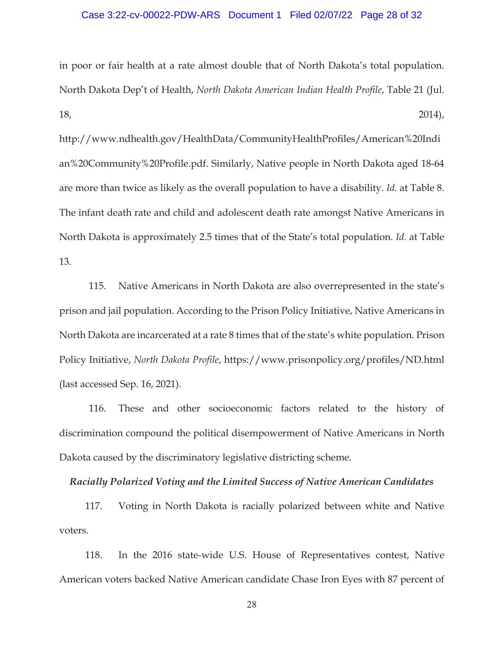### Case 3:22-cv-00022-PDW-ARS Document 1 Filed 02/07/22 Page 28 of 32

in poor or fair health at a rate almost double that of North Dakota's total population. North Dakota Dep't of Health, *North Dakota American Indian Health Profile*, Table 21 (Jul.  $18,$  2014),

http://www.ndhealth.gov/HealthData/CommunityHealthProfiles/American%20Indi an%20Community%20Profile.pdf. Similarly, Native people in North Dakota aged 18-64 are more than twice as likely as the overall population to have a disability. *Id.* at Table 8. The infant death rate and child and adolescent death rate amongst Native Americans in North Dakota is approximately 2.5 times that of the State's total population. *Id.* at Table 13.

115. Native Americans in North Dakota are also overrepresented in the state's prison and jail population. According to the Prison Policy Initiative, Native Americans in North Dakota are incarcerated at a rate 8 times that of the state's white population. Prison Policy Initiative, *North Dakota Profile*, https://www.prisonpolicy.org/profiles/ND.html (last accessed Sep. 16, 2021).

116. These and other socioeconomic factors related to the history of discrimination compound the political disempowerment of Native Americans in North Dakota caused by the discriminatory legislative districting scheme.

### *Racially Polarized Voting and the Limited Success of Native American Candidates*

117. Voting in North Dakota is racially polarized between white and Native voters.

118. In the 2016 state-wide U.S. House of Representatives contest, Native American voters backed Native American candidate Chase Iron Eyes with 87 percent of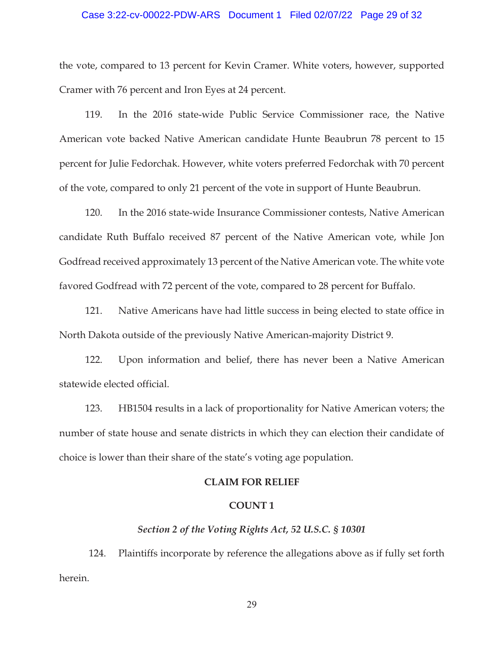### Case 3:22-cv-00022-PDW-ARS Document 1 Filed 02/07/22 Page 29 of 32

the vote, compared to 13 percent for Kevin Cramer. White voters, however, supported Cramer with 76 percent and Iron Eyes at 24 percent.

119. In the 2016 state-wide Public Service Commissioner race, the Native American vote backed Native American candidate Hunte Beaubrun 78 percent to 15 percent for Julie Fedorchak. However, white voters preferred Fedorchak with 70 percent of the vote, compared to only 21 percent of the vote in support of Hunte Beaubrun.

120. In the 2016 state-wide Insurance Commissioner contests, Native American candidate Ruth Buffalo received 87 percent of the Native American vote, while Jon Godfread received approximately 13 percent of the Native American vote. The white vote favored Godfread with 72 percent of the vote, compared to 28 percent for Buffalo.

121. Native Americans have had little success in being elected to state office in North Dakota outside of the previously Native American-majority District 9.

122. Upon information and belief, there has never been a Native American statewide elected official.

123. HB1504 results in a lack of proportionality for Native American voters; the number of state house and senate districts in which they can election their candidate of choice is lower than their share of the state's voting age population.

### **CLAIM FOR RELIEF**

## **COUNT 1**

## *Section 2 of the Voting Rights Act, 52 U.S.C. § 10301*

124. Plaintiffs incorporate by reference the allegations above as if fully set forth herein.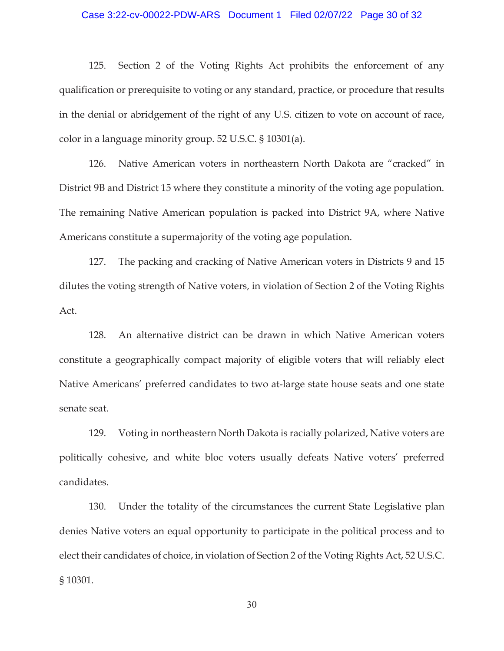### Case 3:22-cv-00022-PDW-ARS Document 1 Filed 02/07/22 Page 30 of 32

125. Section 2 of the Voting Rights Act prohibits the enforcement of any qualification or prerequisite to voting or any standard, practice, or procedure that results in the denial or abridgement of the right of any U.S. citizen to vote on account of race, color in a language minority group. 52 U.S.C. § 10301(a).

126. Native American voters in northeastern North Dakota are "cracked" in District 9B and District 15 where they constitute a minority of the voting age population. The remaining Native American population is packed into District 9A, where Native Americans constitute a supermajority of the voting age population.

127. The packing and cracking of Native American voters in Districts 9 and 15 dilutes the voting strength of Native voters, in violation of Section 2 of the Voting Rights Act.

128. An alternative district can be drawn in which Native American voters constitute a geographically compact majority of eligible voters that will reliably elect Native Americans' preferred candidates to two at-large state house seats and one state senate seat.

129. Voting in northeastern North Dakota is racially polarized, Native voters are politically cohesive, and white bloc voters usually defeats Native voters' preferred candidates.

130. Under the totality of the circumstances the current State Legislative plan denies Native voters an equal opportunity to participate in the political process and to elect their candidates of choice, in violation of Section 2 of the Voting Rights Act, 52 U.S.C. § 10301.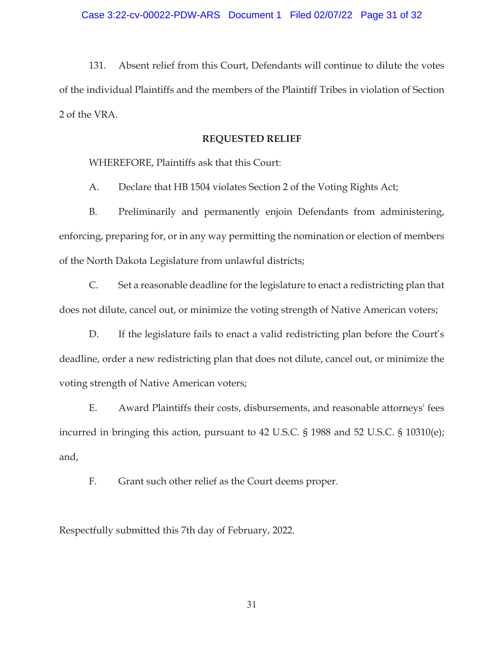131. Absent relief from this Court, Defendants will continue to dilute the votes of the individual Plaintiffs and the members of the Plaintiff Tribes in violation of Section 2 of the VRA.

### **REQUESTED RELIEF**

WHEREFORE, Plaintiffs ask that this Court:

A. Declare that HB 1504 violates Section 2 of the Voting Rights Act;

B. Preliminarily and permanently enjoin Defendants from administering, enforcing, preparing for, or in any way permitting the nomination or election of members of the North Dakota Legislature from unlawful districts;

C. Set a reasonable deadline for the legislature to enact a redistricting plan that does not dilute, cancel out, or minimize the voting strength of Native American voters;

D. If the legislature fails to enact a valid redistricting plan before the Court's deadline, order a new redistricting plan that does not dilute, cancel out, or minimize the voting strength of Native American voters;

E. Award Plaintiffs their costs, disbursements, and reasonable attorneys' fees incurred in bringing this action, pursuant to 42 U.S.C. § 1988 and 52 U.S.C. § 10310(e); and,

F. Grant such other relief as the Court deems proper.

Respectfully submitted this 7th day of February, 2022.